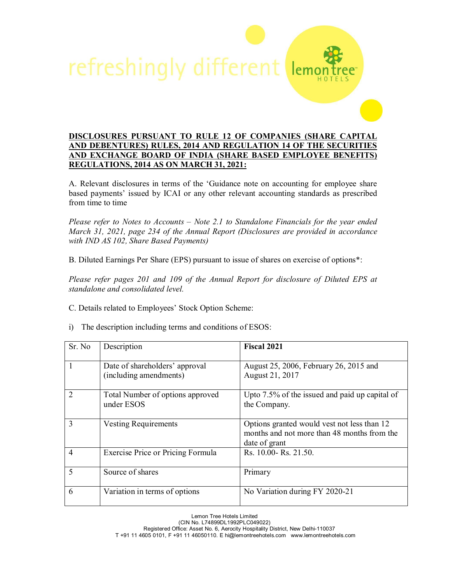

## **DISCLOSURES PURSUANT TO RULE 12 OF COMPANIES (SHARE CAPITAL AND DEBENTURES) RULES, 2014 AND REGULATION 14 OF THE SECURITIES AND EXCHANGE BOARD OF INDIA (SHARE BASED EMPLOYEE BENEFITS) REGULATIONS, 2014 AS ON MARCH 31, 2021:**

A. Relevant disclosures in terms of the 'Guidance note on accounting for employee share based payments' issued by ICAI or any other relevant accounting standards as prescribed from time to time

*Please refer to Notes to Accounts – Note 2.1 to Standalone Financials for the year ended March 31, 2021, page 234 of the Annual Report (Disclosures are provided in accordance with IND AS 102, Share Based Payments)*

B. Diluted Earnings Per Share (EPS) pursuant to issue of shares on exercise of options\*:

*Please refer pages 201 and 109 of the Annual Report for disclosure of Diluted EPS at standalone and consolidated level.*

- C. Details related to Employees' Stock Option Scheme:
- i) The description including terms and conditions of ESOS:

| Sr. No         | Description                                              | <b>Fiscal 2021</b>                                                                                          |
|----------------|----------------------------------------------------------|-------------------------------------------------------------------------------------------------------------|
|                | Date of shareholders' approval<br>(including amendments) | August 25, 2006, February 26, 2015 and<br>August 21, 2017                                                   |
| $\mathcal{D}$  | Total Number of options approved<br>under ESOS           | Upto 7.5% of the issued and paid up capital of<br>the Company.                                              |
| 3              | <b>Vesting Requirements</b>                              | Options granted would vest not less than 12<br>months and not more than 48 months from the<br>date of grant |
| $\overline{4}$ | Exercise Price or Pricing Formula                        | Rs. 10.00- Rs. 21.50.                                                                                       |
| 5              | Source of shares                                         | Primary                                                                                                     |
| 6              | Variation in terms of options                            | No Variation during FY 2020-21                                                                              |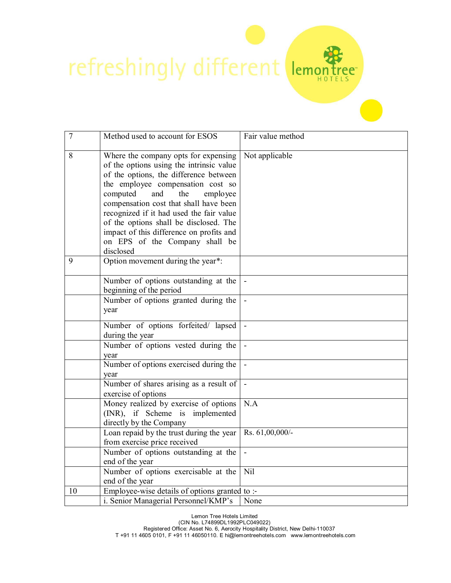refreshingly different

| $\overline{7}$ | Method used to account for ESOS                                                                                                                                                                                                                                                                                                                                                                                                  | Fair value method |
|----------------|----------------------------------------------------------------------------------------------------------------------------------------------------------------------------------------------------------------------------------------------------------------------------------------------------------------------------------------------------------------------------------------------------------------------------------|-------------------|
| 8              | Where the company opts for expensing<br>of the options using the intrinsic value<br>of the options, the difference between<br>the employee compensation cost so<br>computed<br>and<br>the<br>employee<br>compensation cost that shall have been<br>recognized if it had used the fair value<br>of the options shall be disclosed. The<br>impact of this difference on profits and<br>on EPS of the Company shall be<br>disclosed | Not applicable    |
| 9              | Option movement during the year*:                                                                                                                                                                                                                                                                                                                                                                                                |                   |
|                | Number of options outstanding at the<br>beginning of the period                                                                                                                                                                                                                                                                                                                                                                  |                   |
|                | Number of options granted during the<br>year                                                                                                                                                                                                                                                                                                                                                                                     |                   |
|                | Number of options forfeited/ lapsed<br>during the year                                                                                                                                                                                                                                                                                                                                                                           |                   |
|                | Number of options vested during the<br>year                                                                                                                                                                                                                                                                                                                                                                                      |                   |
|                | Number of options exercised during the<br>year                                                                                                                                                                                                                                                                                                                                                                                   |                   |
|                | Number of shares arising as a result of<br>exercise of options                                                                                                                                                                                                                                                                                                                                                                   | $\blacksquare$    |
|                | Money realized by exercise of options<br>(INR), if Scheme is implemented<br>directly by the Company                                                                                                                                                                                                                                                                                                                              | N.A               |
|                | Loan repaid by the trust during the year<br>from exercise price received                                                                                                                                                                                                                                                                                                                                                         | Rs. 61,00,000/-   |
|                | Number of options outstanding at the<br>end of the year                                                                                                                                                                                                                                                                                                                                                                          | $\blacksquare$    |
|                | Number of options exercisable at the<br>end of the year                                                                                                                                                                                                                                                                                                                                                                          | Nil               |
| 10             | Employee-wise details of options granted to :-<br>i. Senior Managerial Personnel/KMP's                                                                                                                                                                                                                                                                                                                                           | None              |

r<br>tee

Lemon Tree Hotels Limited (CIN No. L74899DL1992PLC049022) Registered Office: Asset No. 6, Aerocity Hospitality District, New Delhi-110037 T +91 11 4605 0101, F +91 11 46050110. E hi@lemontreehotels.com www.lemontreehotels.com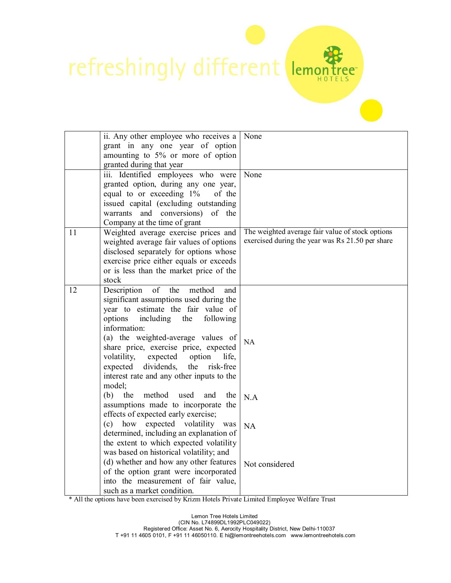refreshingly different lema

|    | ii. Any other employee who receives a<br>grant in any one year of option          | None                                             |
|----|-----------------------------------------------------------------------------------|--------------------------------------------------|
|    | amounting to 5% or more of option                                                 |                                                  |
|    | granted during that year                                                          |                                                  |
|    | iii. Identified employees who were                                                | None                                             |
|    | granted option, during any one year,                                              |                                                  |
|    | equal to or exceeding 1%<br>of the                                                |                                                  |
|    | issued capital (excluding outstanding<br>warrants and conversions)<br>of<br>the   |                                                  |
|    | Company at the time of grant                                                      |                                                  |
| 11 | Weighted average exercise prices and                                              | The weighted average fair value of stock options |
|    | weighted average fair values of options                                           | exercised during the year was Rs 21.50 per share |
|    | disclosed separately for options whose                                            |                                                  |
|    | exercise price either equals or exceeds                                           |                                                  |
|    | or is less than the market price of the                                           |                                                  |
|    | stock                                                                             |                                                  |
| 12 | of<br>Description<br>the<br>method<br>and                                         |                                                  |
|    | significant assumptions used during the<br>year to estimate the fair value of     |                                                  |
|    | options<br>following<br>including<br>the                                          |                                                  |
|    | information:                                                                      |                                                  |
|    | (a) the weighted-average values of                                                | NA                                               |
|    | share price, exercise price, expected                                             |                                                  |
|    | volatility,<br>expected<br>option<br>life,                                        |                                                  |
|    | dividends,<br>the<br>risk-free<br>expected                                        |                                                  |
|    | interest rate and any other inputs to the                                         |                                                  |
|    | model;                                                                            |                                                  |
|    | method<br>used<br>(b)<br>the<br>and<br>the<br>assumptions made to incorporate the | N.A                                              |
|    | effects of expected early exercise;                                               |                                                  |
|    | expected volatility<br>(c)<br>how<br>was                                          | NA                                               |
|    | determined, including an explanation of                                           |                                                  |
|    | the extent to which expected volatility                                           |                                                  |
|    | was based on historical volatility; and                                           |                                                  |
|    | (d) whether and how any other features                                            | Not considered                                   |
|    | of the option grant were incorporated                                             |                                                  |
|    | into the measurement of fair value,<br>such as a market condition.                |                                                  |
|    |                                                                                   |                                                  |

ee"

\* All the options have been exercised by Krizm Hotels Private Limited Employee Welfare Trust